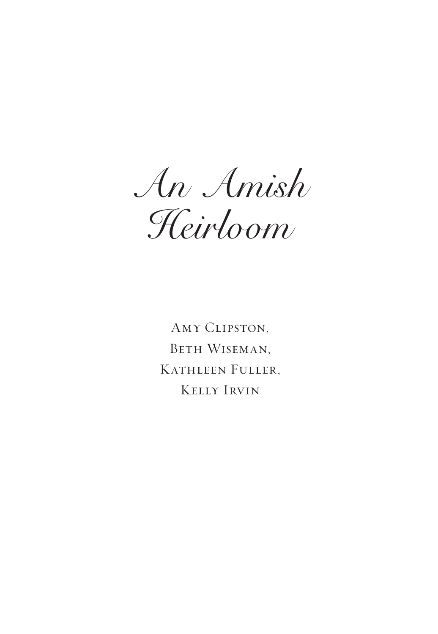*An Amish Heirloom*

Amy Clipston, Beth Wiseman, Kathleen Fuller, Kelly Irvin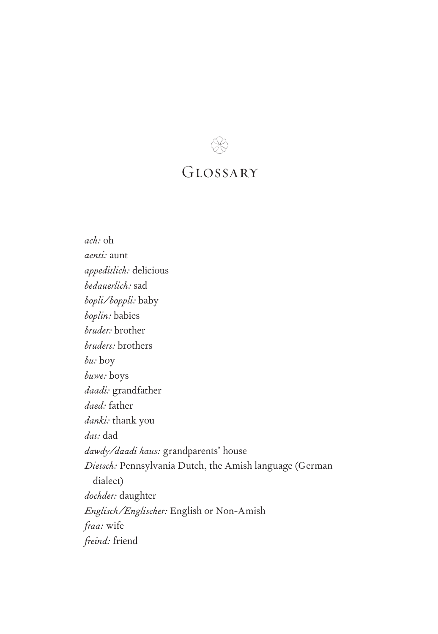

## Glossary

*ach:* oh *aenti:* aunt *appeditlich:* delicious *bedauerlich:* sad *bopli/boppli:* baby *boplin:* babies *bruder:* brother *bruders:* brothers *bu:* boy *buwe:* boys *daadi:* grandfather *daed:* father *danki:* thank you *dat:* dad *dawdy/daadi haus:* grandparents' house *Dietsch:* Pennsylvania Dutch, the Amish language (German dialect) *dochder:* daughter *Englisch/Englischer:* English or Non-Amish *fraa:* wife *freind:* friend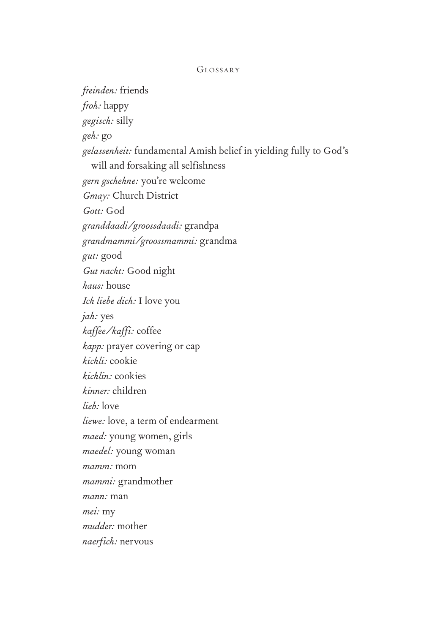#### Glossary

*freinden:* friends *froh:* happy *gegisch:* silly *geh:* go *gelassenheit:* fundamental Amish belief in yielding fully to God's will and forsaking all selfishness *gern gschehne:* you're welcome *Gmay:* Church District *Gott:* God *granddaadi/groossdaadi:* grandpa *grandmammi/groossmammi:* grandma *gut:* good *Gut nacht:* Good night *haus:* house *Ich liebe dich:* I love you *jah:* yes *kaffee/kaffi:* coffee *kapp:* prayer covering or cap *kichli:* cookie *kichlin:* cookies *kinner:* children *lieb:* love *liewe:* love, a term of endearment *maed:* young women, girls *maedel:* young woman *mamm:* mom *mammi:* grandmother *mann:* man *mei:* my *mudder:* mother *naerfich:* nervous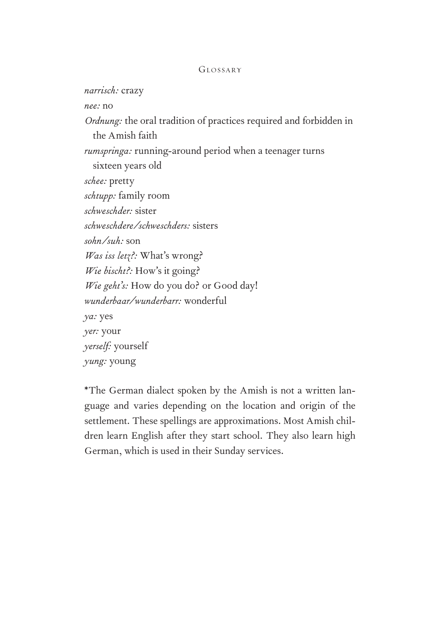#### Glossary

*narrisch:* crazy *nee:* no *Ordnung:* the oral tradition of practices required and forbidden in the Amish faith *rumspringa:* running-around period when a teenager turns sixteen years old *schee:* pretty *schtupp:* family room *schweschder:* sister *schweschdere/schweschders:* sisters *sohn/suh:* son *Was iss letz?:* What's wrong? *Wie bischt?:* How's it going? *Wie geht's:* How do you do? or Good day! *wunderbaar/wunderbarr:* wonderful *ya:* yes *yer:* your *yerself:* yourself *yung:* young

\*The German dialect spoken by the Amish is not a written language and varies depending on the location and origin of the settlement. These spellings are approximations. Most Amish children learn English after they start school. They also learn high German, which is used in their Sunday services.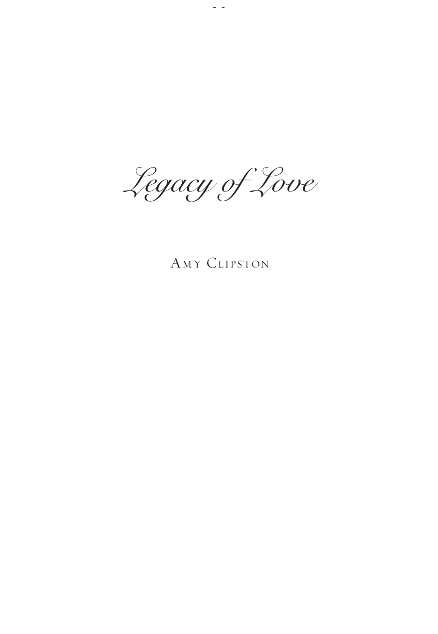*Legacy of Love*

 $\frac{1}{2}$ 

## Amy Clipston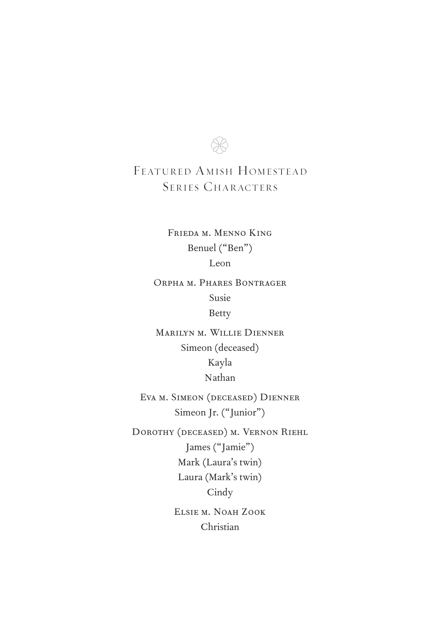

### FEATURED AMISH HOMESTEAD SERIES CHARACTERS

Frieda m. Menno King Benuel ("Ben") Leon

Orpha m. Phares Bontrager Susie Betty

Marilyn m. Willie Dienner Simeon (deceased) Kayla Nathan

Eva m. Simeon (deceased) Dienner Simeon Jr. ("Junior")

Dorothy (deceased) m. Vernon Riehl James ("Jamie") Mark (Laura's twin) Laura (Mark's twin) **Cindy** Elsie m. Noah Zook

Christian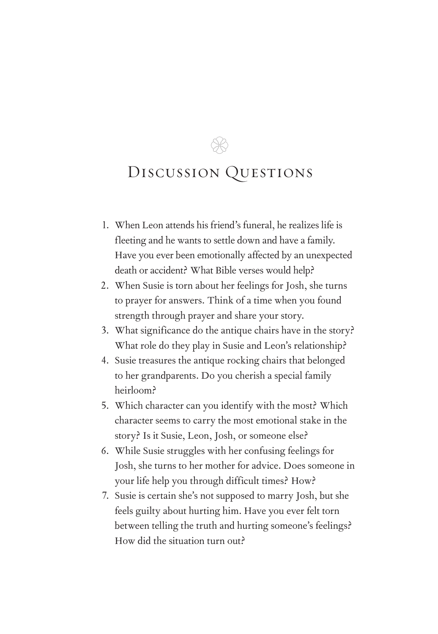$\otimes$ 

- 1. When Leon attends his friend's funeral, he realizes life is fleeting and he wants to settle down and have a family. Have you ever been emotionally affected by an unexpected death or accident? What Bible verses would help?
- 2. When Susie is torn about her feelings for Josh, she turns to prayer for answers. Think of a time when you found strength through prayer and share your story.
- 3. What significance do the antique chairs have in the story? What role do they play in Susie and Leon's relationship?
- 4. Susie treasures the antique rocking chairs that belonged to her grandparents. Do you cherish a special family heirloom?
- 5. Which character can you identify with the most? Which character seems to carry the most emotional stake in the story? Is it Susie, Leon, Josh, or someone else?
- 6. While Susie struggles with her confusing feelings for Josh, she turns to her mother for advice. Does someone in your life help you through difficult times? How?
- 7. Susie is certain she's not supposed to marry Josh, but she feels guilty about hurting him. Have you ever felt torn between telling the truth and hurting someone's feelings? How did the situation turn out?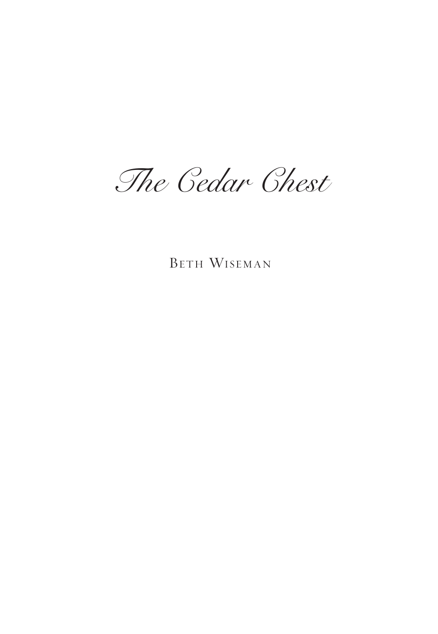*The Cedar Chest*

BETH WISEMAN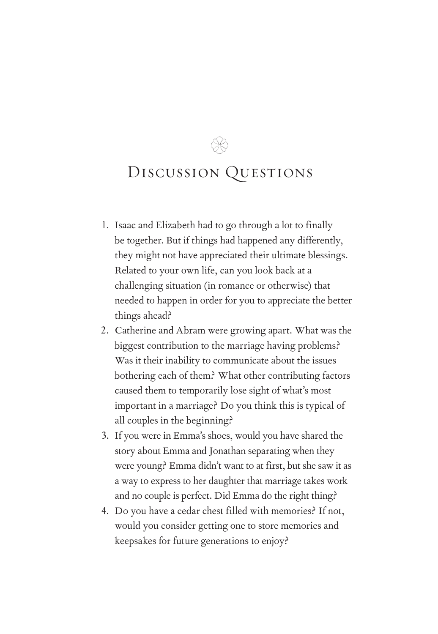$\otimes$ 

- 1. Isaac and Elizabeth had to go through a lot to finally be together. But if things had happened any differently, they might not have appreciated their ultimate blessings. Related to your own life, can you look back at a challenging situation (in romance or otherwise) that needed to happen in order for you to appreciate the better things ahead?
- 2. Catherine and Abram were growing apart. What was the biggest contribution to the marriage having problems? Was it their inability to communicate about the issues bothering each of them? What other contributing factors caused them to temporarily lose sight of what's most important in a marriage? Do you think this is typical of all couples in the beginning?
- 3. If you were in Emma's shoes, would you have shared the story about Emma and Jonathan separating when they were young? Emma didn't want to at first, but she saw it as a way to express to her daughter that marriage takes work and no couple is perfect. Did Emma do the right thing?
- 4. Do you have a cedar chest filled with memories? If not, would you consider getting one to store memories and keepsakes for future generations to enjoy?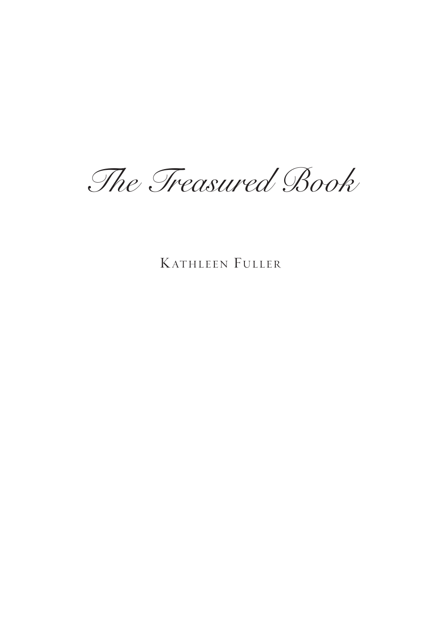*The Treasured Book*

KATHLEEN FULLER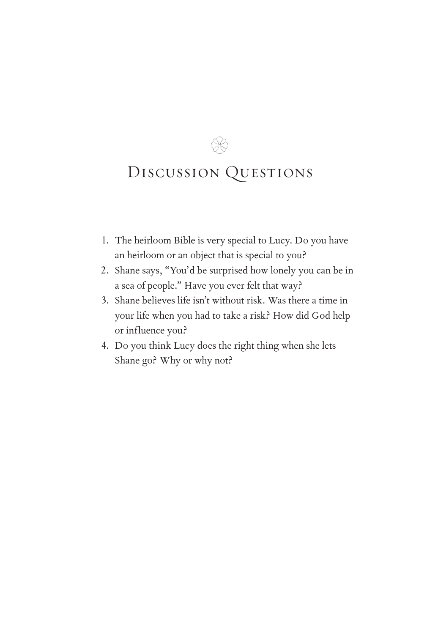96

- 1. The heirloom Bible is very special to Lucy. Do you have an heirloom or an object that is special to you?
- 2. Shane says, "You'd be surprised how lonely you can be in a sea of people." Have you ever felt that way?
- 3. Shane believes life isn't without risk. Was there a time in your life when you had to take a risk? How did God help or influence you?
- 4. Do you think Lucy does the right thing when she lets Shane go? Why or why not?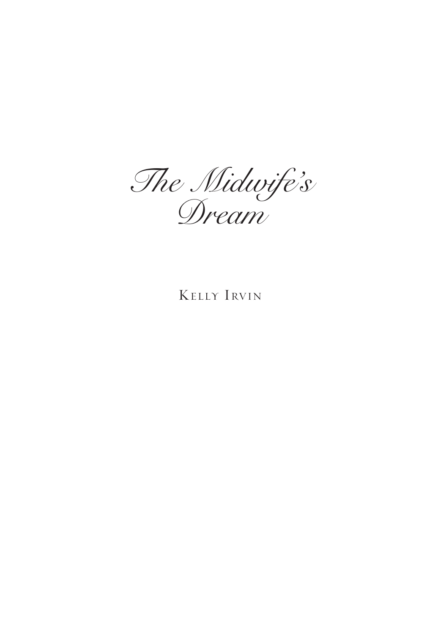*The Midwife's Dream*

## KELLY IRVIN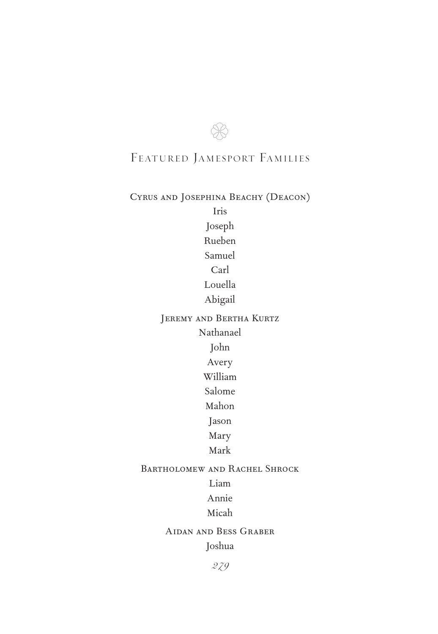# $\otimes$ FEATURED JAMESPORT FAMILIES

## Cyrus and Josephina Beachy (Deacon)

Iris Joseph Rueben Samuel Carl Louella Abigail Jeremy and Bertha Kurtz Nathanael

John

Avery

William

Salome

Mahon

Jason

Mary

Mark

### Bartholomew and Rachel Shrock

Liam

Annie

Micah

Aidan and Bess Graber

Joshua

*279*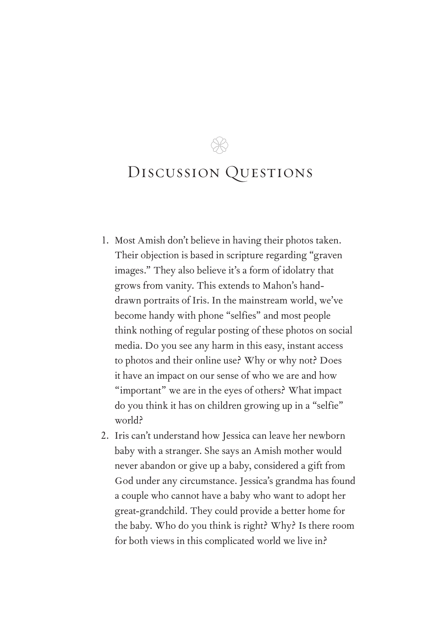$\otimes$ 

- 1. Most Amish don't believe in having their photos taken. Their objection is based in scripture regarding "graven images." They also believe it's a form of idolatry that grows from vanity. This extends to Mahon's handdrawn portraits of Iris. In the mainstream world, we've become handy with phone "selfies" and most people think nothing of regular posting of these photos on social media. Do you see any harm in this easy, instant access to photos and their online use? Why or why not? Does it have an impact on our sense of who we are and how "important" we are in the eyes of others? What impact do you think it has on children growing up in a "selfie" world?
- 2. Iris can't understand how Jessica can leave her newborn baby with a stranger. She says an Amish mother would never abandon or give up a baby, considered a gift from God under any circumstance. Jessica's grandma has found a couple who cannot have a baby who want to adopt her great-grandchild. They could provide a better home for the baby. Who do you think is right? Why? Is there room for both views in this complicated world we live in?